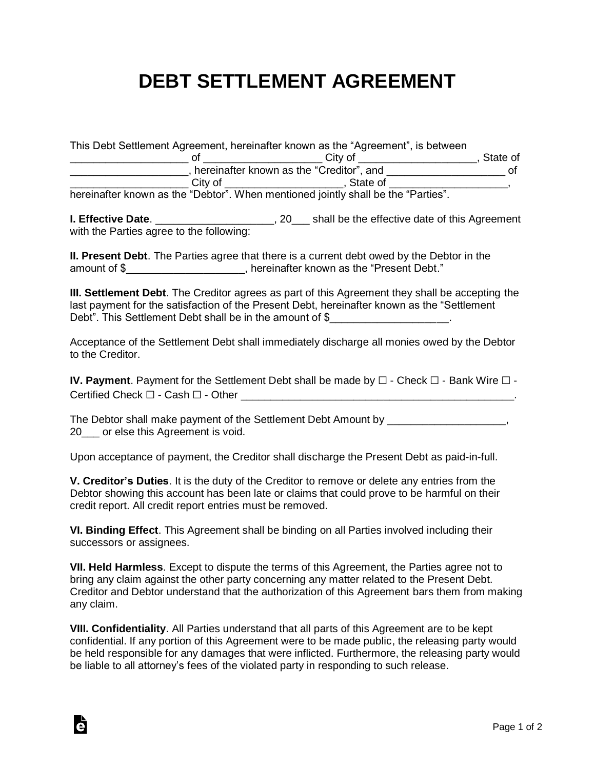## **DEBT SETTLEMENT AGREEMENT**

|         | This Debt Settlement Agreement, hereinafter known as the "Agreement", is between  |          |
|---------|-----------------------------------------------------------------------------------|----------|
|         | City of                                                                           | State of |
|         | hereinafter known as the "Creditor", and                                          | nt       |
| City of | . State of                                                                        |          |
|         | hereinafter known as the "Debtor". When mentioned jointly shall be the "Parties". |          |

**I. Effective Date**. \_\_\_\_\_\_\_\_\_\_\_\_\_\_\_\_\_\_\_\_, 20\_\_\_ shall be the effective date of this Agreement with the Parties agree to the following:

**II. Present Debt**. The Parties agree that there is a current debt owed by the Debtor in the amount of \$\_\_\_\_\_\_\_\_\_\_\_\_\_\_\_\_\_\_\_\_, hereinafter known as the "Present Debt."

**III. Settlement Debt**. The Creditor agrees as part of this Agreement they shall be accepting the last payment for the satisfaction of the Present Debt, hereinafter known as the "Settlement Debt". This Settlement Debt shall be in the amount of \$

Acceptance of the Settlement Debt shall immediately discharge all monies owed by the Debtor to the Creditor.

**IV. Payment**. Payment for the Settlement Debt shall be made by ☐ - Check ☐ - Bank Wire ☐ - Certified Check □ - Cash □ - Other

The Debtor shall make payment of the Settlement Debt Amount by The Debtor shall make  $\sim$ 20\_\_\_ or else this Agreement is void.

Upon acceptance of payment, the Creditor shall discharge the Present Debt as paid-in-full.

**V. Creditor's Duties**. It is the duty of the Creditor to remove or delete any entries from the Debtor showing this account has been late or claims that could prove to be harmful on their credit report. All credit report entries must be removed.

**VI. Binding Effect**. This Agreement shall be binding on all Parties involved including their successors or assignees.

**VII. Held Harmless**. Except to dispute the terms of this Agreement, the Parties agree not to bring any claim against the other party concerning any matter related to the Present Debt. Creditor and Debtor understand that the authorization of this Agreement bars them from making any claim.

**VIII. Confidentiality**. All Parties understand that all parts of this Agreement are to be kept confidential. If any portion of this Agreement were to be made public, the releasing party would be held responsible for any damages that were inflicted. Furthermore, the releasing party would be liable to all attorney's fees of the violated party in responding to such release.

à